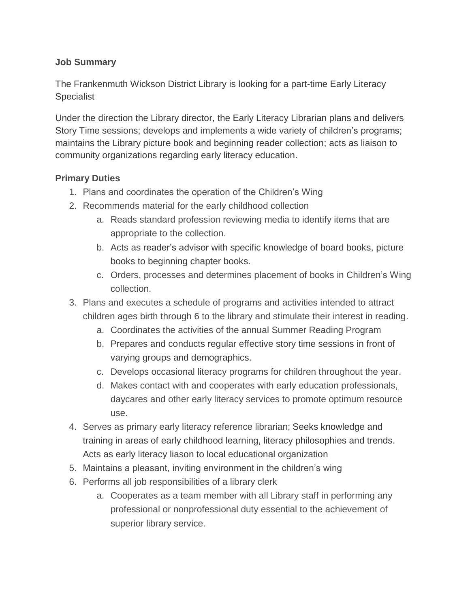## **Job Summary**

The Frankenmuth Wickson District Library is looking for a part-time Early Literacy Specialist

Under the direction the Library director, the Early Literacy Librarian plans and delivers Story Time sessions; develops and implements a wide variety of children's programs; maintains the Library picture book and beginning reader collection; acts as liaison to community organizations regarding early literacy education.

## **Primary Duties**

- 1. Plans and coordinates the operation of the Children's Wing
- 2. Recommends material for the early childhood collection
	- a. Reads standard profession reviewing media to identify items that are appropriate to the collection.
	- b. Acts as reader's advisor with specific knowledge of board books, picture books to beginning chapter books.
	- c. Orders, processes and determines placement of books in Children's Wing collection.
- 3. Plans and executes a schedule of programs and activities intended to attract children ages birth through 6 to the library and stimulate their interest in reading.
	- a. Coordinates the activities of the annual Summer Reading Program
	- b. Prepares and conducts regular effective story time sessions in front of varying groups and demographics.
	- c. Develops occasional literacy programs for children throughout the year.
	- d. Makes contact with and cooperates with early education professionals, daycares and other early literacy services to promote optimum resource use.
- 4. Serves as primary early literacy reference librarian; Seeks knowledge and training in areas of early childhood learning, literacy philosophies and trends. Acts as early literacy liason to local educational organization
- 5. Maintains a pleasant, inviting environment in the children's wing
- 6. Performs all job responsibilities of a library clerk
	- a. Cooperates as a team member with all Library staff in performing any professional or nonprofessional duty essential to the achievement of superior library service.